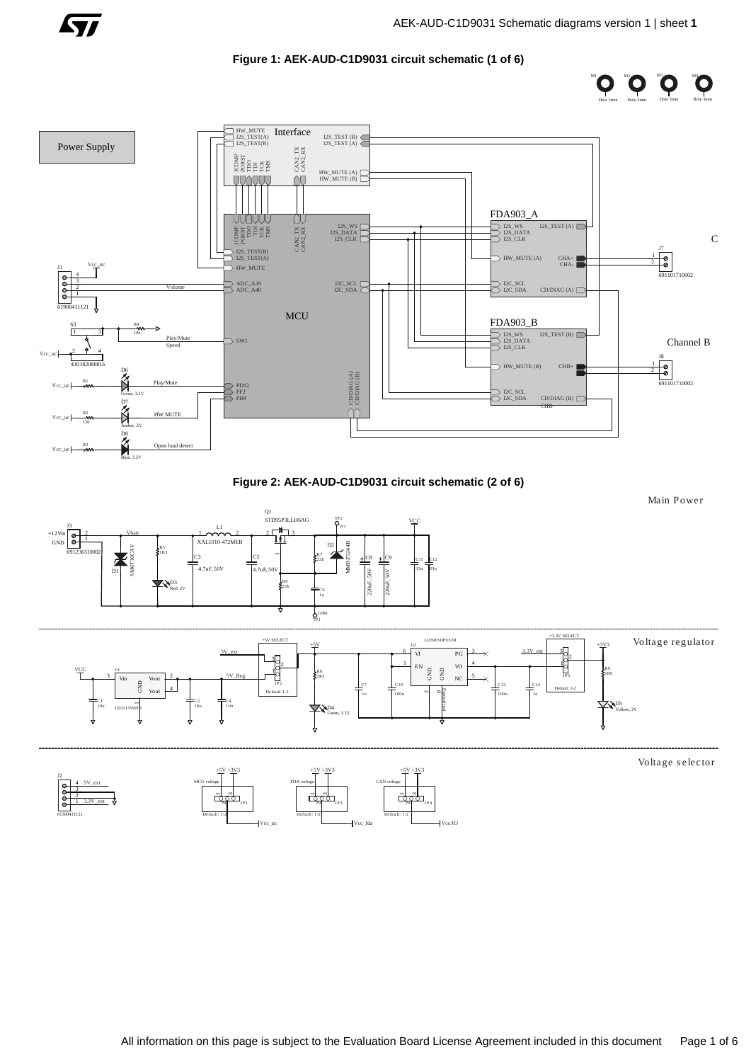

M2

M3

M4

M1

# **Figure 1: AEK-AUD-C1D9031 circuit schematic (1 of 6)**





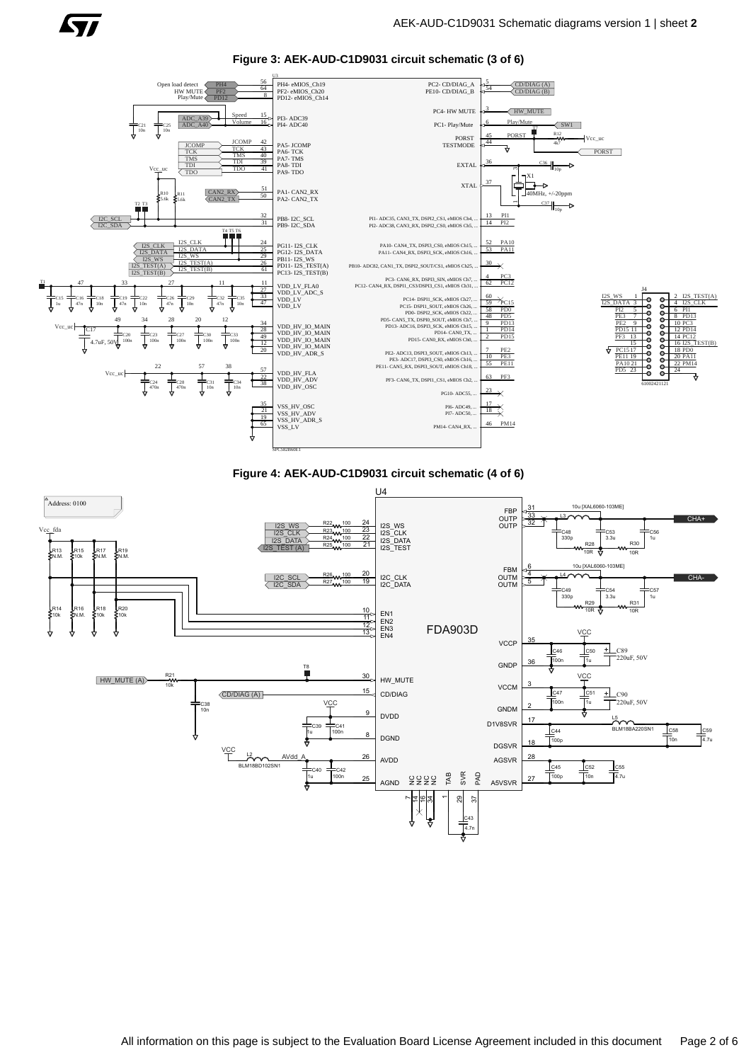**Figure 3: AEK-AUD-C1D9031 circuit schematic (3 of 6)**

 $\sqrt{11}$ 





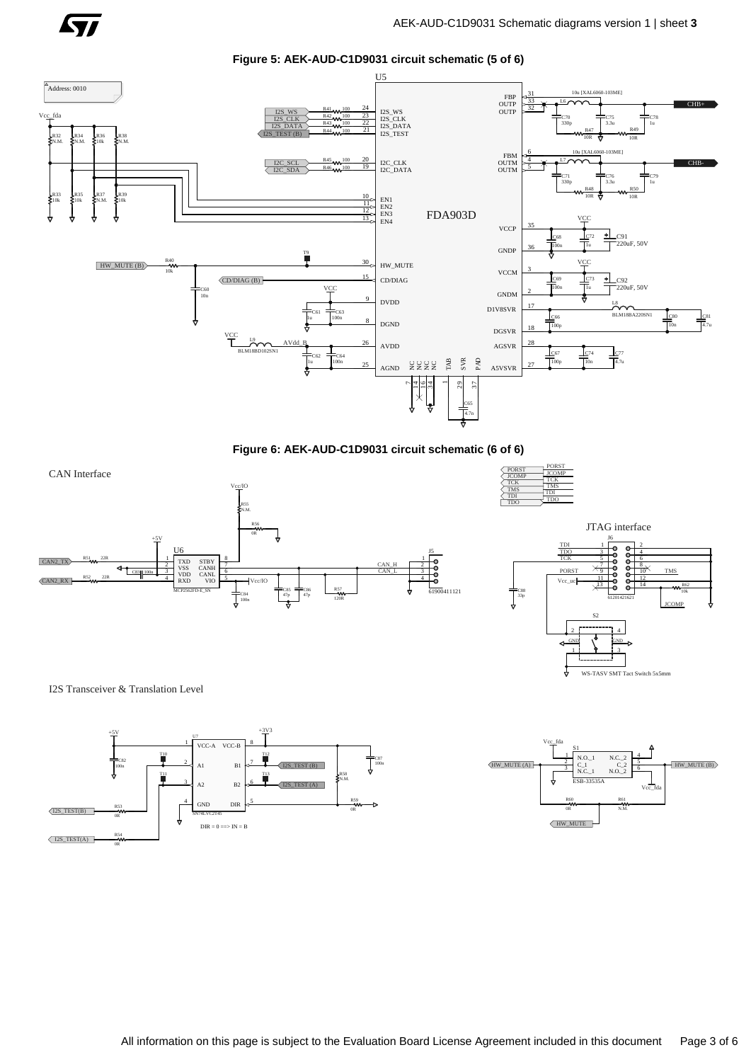

**Figure 5: AEK-AUD-C1D9031 circuit schematic (5 of 6)**



**Figure 6: AEK-AUD-C1D9031 circuit schematic (6 of 6)**







I2S Transceiver & Translation Level



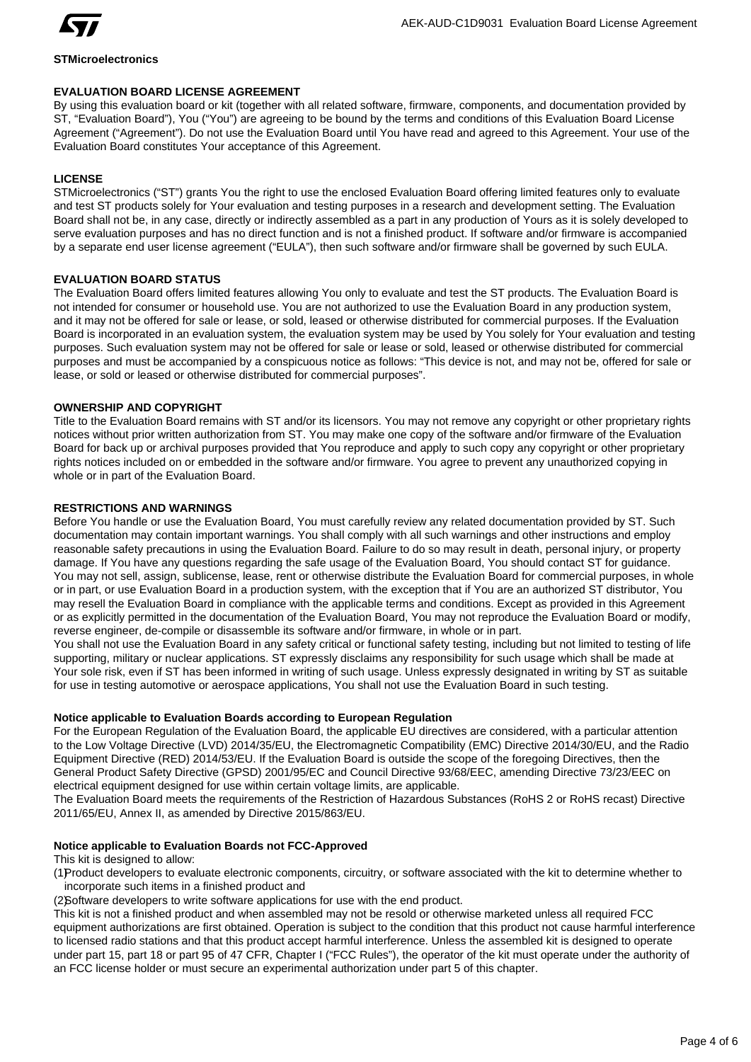

## **STMicroelectronics**

## **EVALUATION BOARD LICENSE AGREEMENT**

By using this evaluation board or kit (together with all related software, firmware, components, and documentation provided by ST, "Evaluation Board"), You ("You") are agreeing to be bound by the terms and conditions of this Evaluation Board License Agreement ("Agreement"). Do not use the Evaluation Board until You have read and agreed to this Agreement. Your use of the Evaluation Board constitutes Your acceptance of this Agreement.

# **LICENSE**

STMicroelectronics ("ST") grants You the right to use the enclosed Evaluation Board offering limited features only to evaluate and test ST products solely for Your evaluation and testing purposes in a research and development setting. The Evaluation Board shall not be, in any case, directly or indirectly assembled as a part in any production of Yours as it is solely developed to serve evaluation purposes and has no direct function and is not a finished product. If software and/or firmware is accompanied by a separate end user license agreement ("EULA"), then such software and/or firmware shall be governed by such EULA.

## **EVALUATION BOARD STATUS**

The Evaluation Board offers limited features allowing You only to evaluate and test the ST products. The Evaluation Board is not intended for consumer or household use. You are not authorized to use the Evaluation Board in any production system, and it may not be offered for sale or lease, or sold, leased or otherwise distributed for commercial purposes. If the Evaluation Board is incorporated in an evaluation system, the evaluation system may be used by You solely for Your evaluation and testing purposes. Such evaluation system may not be offered for sale or lease or sold, leased or otherwise distributed for commercial purposes and must be accompanied by a conspicuous notice as follows: "This device is not, and may not be, offered for sale or lease, or sold or leased or otherwise distributed for commercial purposes".

## **OWNERSHIP AND COPYRIGHT**

Title to the Evaluation Board remains with ST and/or its licensors. You may not remove any copyright or other proprietary rights notices without prior written authorization from ST. You may make one copy of the software and/or firmware of the Evaluation Board for back up or archival purposes provided that You reproduce and apply to such copy any copyright or other proprietary rights notices included on or embedded in the software and/or firmware. You agree to prevent any unauthorized copying in whole or in part of the Evaluation Board.

## **RESTRICTIONS AND WARNINGS**

Before You handle or use the Evaluation Board, You must carefully review any related documentation provided by ST. Such documentation may contain important warnings. You shall comply with all such warnings and other instructions and employ reasonable safety precautions in using the Evaluation Board. Failure to do so may result in death, personal injury, or property damage. If You have any questions regarding the safe usage of the Evaluation Board, You should contact ST for guidance. You may not sell, assign, sublicense, lease, rent or otherwise distribute the Evaluation Board for commercial purposes, in whole or in part, or use Evaluation Board in a production system, with the exception that if You are an authorized ST distributor, You may resell the Evaluation Board in compliance with the applicable terms and conditions. Except as provided in this Agreement or as explicitly permitted in the documentation of the Evaluation Board, You may not reproduce the Evaluation Board or modify, reverse engineer, de-compile or disassemble its software and/or firmware, in whole or in part.

You shall not use the Evaluation Board in any safety critical or functional safety testing, including but not limited to testing of life supporting, military or nuclear applications. ST expressly disclaims any responsibility for such usage which shall be made at Your sole risk, even if ST has been informed in writing of such usage. Unless expressly designated in writing by ST as suitable for use in testing automotive or aerospace applications, You shall not use the Evaluation Board in such testing.

# **Notice applicable to Evaluation Boards according to European Regulation**

For the European Regulation of the Evaluation Board, the applicable EU directives are considered, with a particular attention to the Low Voltage Directive (LVD) 2014/35/EU, the Electromagnetic Compatibility (EMC) Directive 2014/30/EU, and the Radio Equipment Directive (RED) 2014/53/EU. If the Evaluation Board is outside the scope of the foregoing Directives, then the General Product Safety Directive (GPSD) 2001/95/EC and Council Directive 93/68/EEC, amending Directive 73/23/EEC on electrical equipment designed for use within certain voltage limits, are applicable.

The Evaluation Board meets the requirements of the Restriction of Hazardous Substances (RoHS 2 or RoHS recast) Directive 2011/65/EU, Annex II, as amended by Directive 2015/863/EU.

## **Notice applicable to Evaluation Boards not FCC-Approved**

This kit is designed to allow:

(1)Product developers to evaluate electronic components, circuitry, or software associated with the kit to determine whether to incorporate such items in a finished product and

(2)Software developers to write software applications for use with the end product.

This kit is not a finished product and when assembled may not be resold or otherwise marketed unless all required FCC equipment authorizations are first obtained. Operation is subject to the condition that this product not cause harmful interference to licensed radio stations and that this product accept harmful interference. Unless the assembled kit is designed to operate under part 15, part 18 or part 95 of 47 CFR, Chapter I ("FCC Rules"), the operator of the kit must operate under the authority of an FCC license holder or must secure an experimental authorization under part 5 of this chapter.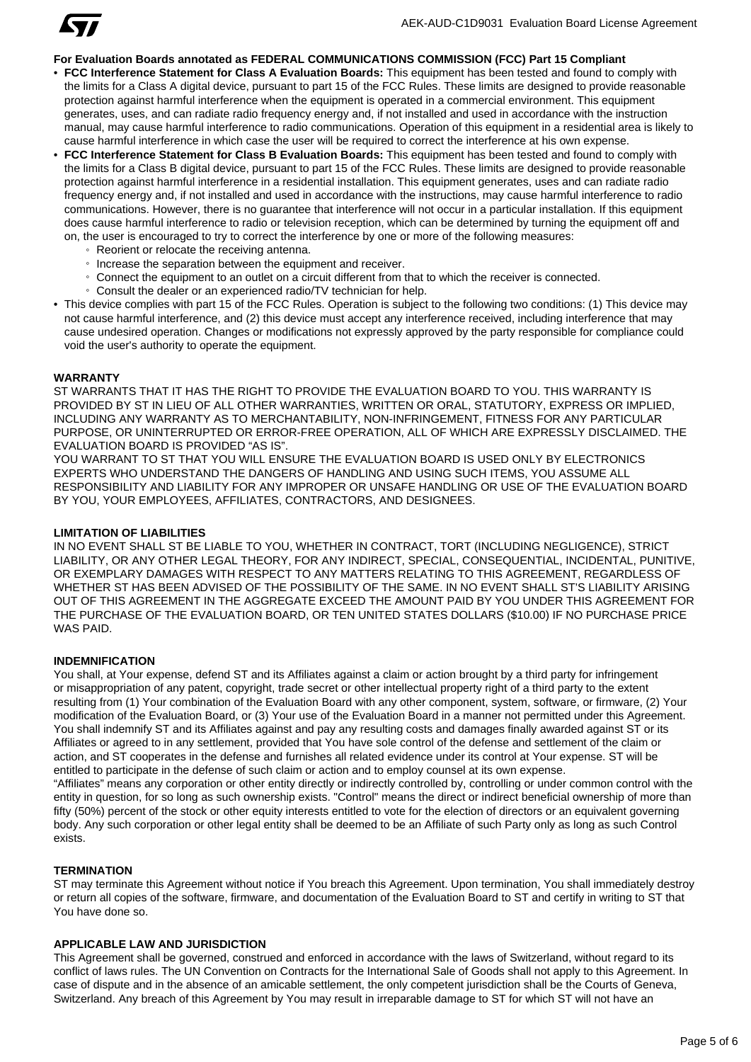

## **For Evaluation Boards annotated as FEDERAL COMMUNICATIONS COMMISSION (FCC) Part 15 Compliant**

- **FCC Interference Statement for Class A Evaluation Boards:** This equipment has been tested and found to comply with the limits for a Class A digital device, pursuant to part 15 of the FCC Rules. These limits are designed to provide reasonable protection against harmful interference when the equipment is operated in a commercial environment. This equipment generates, uses, and can radiate radio frequency energy and, if not installed and used in accordance with the instruction manual, may cause harmful interference to radio communications. Operation of this equipment in a residential area is likely to cause harmful interference in which case the user will be required to correct the interference at his own expense.
- **FCC Interference Statement for Class B Evaluation Boards:** This equipment has been tested and found to comply with the limits for a Class B digital device, pursuant to part 15 of the FCC Rules. These limits are designed to provide reasonable protection against harmful interference in a residential installation. This equipment generates, uses and can radiate radio frequency energy and, if not installed and used in accordance with the instructions, may cause harmful interference to radio communications. However, there is no guarantee that interference will not occur in a particular installation. If this equipment does cause harmful interference to radio or television reception, which can be determined by turning the equipment off and on, the user is encouraged to try to correct the interference by one or more of the following measures:
	- Reorient or relocate the receiving antenna.
	- Increase the separation between the equipment and receiver.
	- Connect the equipment to an outlet on a circuit different from that to which the receiver is connected.
	- Consult the dealer or an experienced radio/TV technician for help.
- This device complies with part 15 of the FCC Rules. Operation is subject to the following two conditions: (1) This device may not cause harmful interference, and (2) this device must accept any interference received, including interference that may cause undesired operation. Changes or modifications not expressly approved by the party responsible for compliance could void the user's authority to operate the equipment.

#### **WARRANTY**

ST WARRANTS THAT IT HAS THE RIGHT TO PROVIDE THE EVALUATION BOARD TO YOU. THIS WARRANTY IS PROVIDED BY ST IN LIEU OF ALL OTHER WARRANTIES, WRITTEN OR ORAL, STATUTORY, EXPRESS OR IMPLIED, INCLUDING ANY WARRANTY AS TO MERCHANTABILITY, NON-INFRINGEMENT, FITNESS FOR ANY PARTICULAR PURPOSE, OR UNINTERRUPTED OR ERROR-FREE OPERATION, ALL OF WHICH ARE EXPRESSLY DISCLAIMED. THE EVALUATION BOARD IS PROVIDED "AS IS".

YOU WARRANT TO ST THAT YOU WILL ENSURE THE EVALUATION BOARD IS USED ONLY BY ELECTRONICS EXPERTS WHO UNDERSTAND THE DANGERS OF HANDLING AND USING SUCH ITEMS, YOU ASSUME ALL RESPONSIBILITY AND LIABILITY FOR ANY IMPROPER OR UNSAFE HANDLING OR USE OF THE EVALUATION BOARD BY YOU, YOUR EMPLOYEES, AFFILIATES, CONTRACTORS, AND DESIGNEES.

#### **LIMITATION OF LIABILITIES**

IN NO EVENT SHALL ST BE LIABLE TO YOU, WHETHER IN CONTRACT, TORT (INCLUDING NEGLIGENCE), STRICT LIABILITY, OR ANY OTHER LEGAL THEORY, FOR ANY INDIRECT, SPECIAL, CONSEQUENTIAL, INCIDENTAL, PUNITIVE, OR EXEMPLARY DAMAGES WITH RESPECT TO ANY MATTERS RELATING TO THIS AGREEMENT, REGARDLESS OF WHETHER ST HAS BEEN ADVISED OF THE POSSIBILITY OF THE SAME. IN NO EVENT SHALL ST'S LIABILITY ARISING OUT OF THIS AGREEMENT IN THE AGGREGATE EXCEED THE AMOUNT PAID BY YOU UNDER THIS AGREEMENT FOR THE PURCHASE OF THE EVALUATION BOARD, OR TEN UNITED STATES DOLLARS (\$10.00) IF NO PURCHASE PRICE WAS PAID.

#### **INDEMNIFICATION**

You shall, at Your expense, defend ST and its Affiliates against a claim or action brought by a third party for infringement or misappropriation of any patent, copyright, trade secret or other intellectual property right of a third party to the extent resulting from (1) Your combination of the Evaluation Board with any other component, system, software, or firmware, (2) Your modification of the Evaluation Board, or (3) Your use of the Evaluation Board in a manner not permitted under this Agreement. You shall indemnify ST and its Affiliates against and pay any resulting costs and damages finally awarded against ST or its Affiliates or agreed to in any settlement, provided that You have sole control of the defense and settlement of the claim or action, and ST cooperates in the defense and furnishes all related evidence under its control at Your expense. ST will be entitled to participate in the defense of such claim or action and to employ counsel at its own expense. "Affiliates" means any corporation or other entity directly or indirectly controlled by, controlling or under common control with the entity in question, for so long as such ownership exists. "Control" means the direct or indirect beneficial ownership of more than fifty (50%) percent of the stock or other equity interests entitled to vote for the election of directors or an equivalent governing body. Any such corporation or other legal entity shall be deemed to be an Affiliate of such Party only as long as such Control

#### **TERMINATION**

exists.

ST may terminate this Agreement without notice if You breach this Agreement. Upon termination, You shall immediately destroy or return all copies of the software, firmware, and documentation of the Evaluation Board to ST and certify in writing to ST that You have done so.

### **APPLICABLE LAW AND JURISDICTION**

This Agreement shall be governed, construed and enforced in accordance with the laws of Switzerland, without regard to its conflict of laws rules. The UN Convention on Contracts for the International Sale of Goods shall not apply to this Agreement. In case of dispute and in the absence of an amicable settlement, the only competent jurisdiction shall be the Courts of Geneva, Switzerland. Any breach of this Agreement by You may result in irreparable damage to ST for which ST will not have an